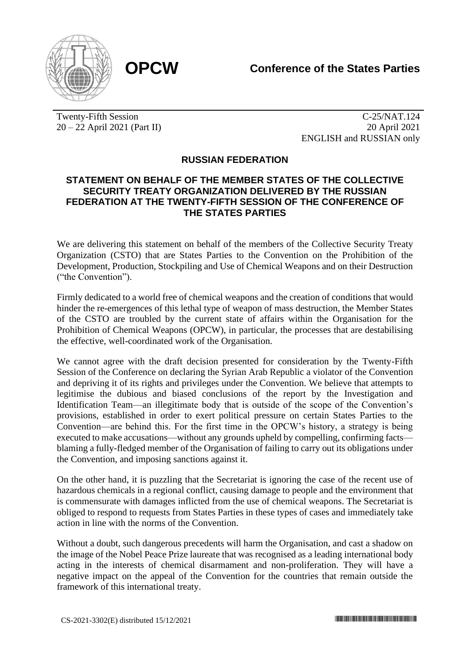

Twenty-Fifth Session 20 – 22 April 2021 (Part II)

C-25/NAT.124 20 April 2021 ENGLISH and RUSSIAN only

## **RUSSIAN FEDERATION**

## **STATEMENT ON BEHALF OF THE MEMBER STATES OF THE COLLECTIVE SECURITY TREATY ORGANIZATION DELIVERED BY THE RUSSIAN FEDERATION AT THE TWENTY-FIFTH SESSION OF THE CONFERENCE OF THE STATES PARTIES**

We are delivering this statement on behalf of the members of the Collective Security Treaty Organization (CSTO) that are States Parties to the Convention on the Prohibition of the Development, Production, Stockpiling and Use of Chemical Weapons and on their Destruction ("the Convention").

Firmly dedicated to a world free of chemical weapons and the creation of conditions that would hinder the re-emergences of this lethal type of weapon of mass destruction, the Member States of the CSTO are troubled by the current state of affairs within the Organisation for the Prohibition of Chemical Weapons (OPCW), in particular, the processes that are destabilising the effective, well-coordinated work of the Organisation.

We cannot agree with the draft decision presented for consideration by the Twenty-Fifth Session of the Conference on declaring the Syrian Arab Republic a violator of the Convention and depriving it of its rights and privileges under the Convention. We believe that attempts to legitimise the dubious and biased conclusions of the report by the Investigation and Identification Team—an illegitimate body that is outside of the scope of the Convention's provisions, established in order to exert political pressure on certain States Parties to the Convention—are behind this. For the first time in the OPCW's history, a strategy is being executed to make accusations—without any grounds upheld by compelling, confirming facts blaming a fully-fledged member of the Organisation of failing to carry out its obligations under the Convention, and imposing sanctions against it.

On the other hand, it is puzzling that the Secretariat is ignoring the case of the recent use of hazardous chemicals in a regional conflict, causing damage to people and the environment that is commensurate with damages inflicted from the use of chemical weapons. The Secretariat is obliged to respond to requests from States Parties in these types of cases and immediately take action in line with the norms of the Convention.

Without a doubt, such dangerous precedents will harm the Organisation, and cast a shadow on the image of the Nobel Peace Prize laureate that was recognised as a leading international body acting in the interests of chemical disarmament and non-proliferation. They will have a negative impact on the appeal of the Convention for the countries that remain outside the framework of this international treaty.